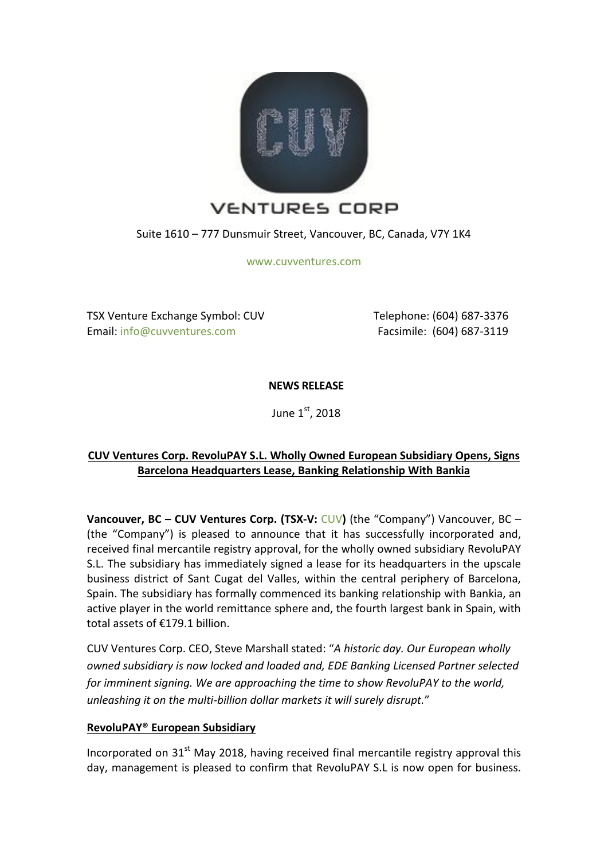

Suite 1610 – 777 Dunsmuir Street, Vancouver, BC, Canada, V7Y 1K4

[www.cuvventures.com](http://www.cuvventures.com/)

TSX Venture Exchange Symbol: CUV Email[: info@cuvventures.com](mailto:info@cuvventures.com)

 Telephone: (604) 687-3376 Facsimile: (604) 687-3119

**NEWS RELEASE**

June  $1^{\text{st}}$ , 2018

# **CUV Ventures Corp. RevoluPAY S.L. Wholly Owned European Subsidiary Opens, Signs Barcelona Headquarters Lease, Banking Relationship With Bankia**

**Vancouver, BC – CUV Ventures Corp. (TSX-V:** [CUV](http://web.tmxmoney.com/quote.php?qm_symbol=CUV)**)** (the "Company") Vancouver, BC – (the "Company") is pleased to announce that it has successfully incorporated and, received final mercantile registry approval, for the wholly owned subsidiary RevoluPAY S.L. The subsidiary has immediately signed a lease for its headquarters in the upscale business district of Sant Cugat del Valles, within the central periphery of Barcelona, Spain. The subsidiary has formally commenced its banking relationship with Bankia, an active player in the world remittance sphere and, the fourth largest bank in Spain, with total assets of €179.1 billion.

CUV Ventures Corp. CEO, Steve Marshall stated: "*A historic day. Our European wholly owned subsidiary is now locked and loaded and, EDE Banking Licensed Partner selected for imminent signing. We are approaching the time to show RevoluPAY to the world, unleashing it on the multi-billion dollar markets it will surely disrupt.*"

## **RevoluPAY® European Subsidiary**

Incorporated on  $31<sup>st</sup>$  May 2018, having received final mercantile registry approval this day, management is pleased to confirm that RevoluPAY S.L is now open for business.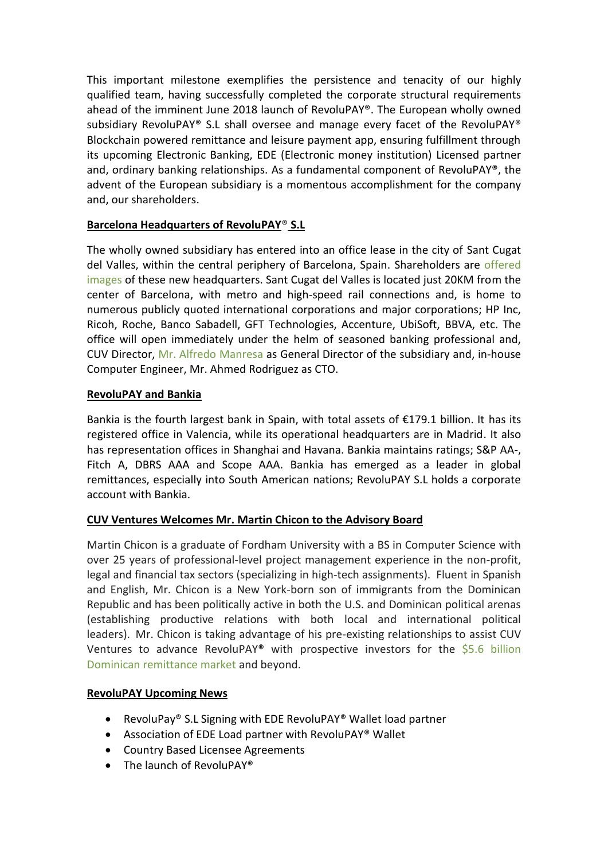This important milestone exemplifies the persistence and tenacity of our highly qualified team, having successfully completed the corporate structural requirements ahead of the imminent June 2018 launch of RevoluPAY®. The European wholly owned subsidiary RevoluPAY® S.L shall oversee and manage every facet of the RevoluPAY® Blockchain powered remittance and leisure payment app, ensuring fulfillment through its upcoming Electronic Banking, EDE (Electronic money institution) Licensed partner and, ordinary banking relationships. As a fundamental component of RevoluPAY®, the advent of the European subsidiary is a momentous accomplishment for the company and, our shareholders.

## **Barcelona Headquarters of RevoluPAY**® **S.L**

The wholly owned subsidiary has entered into an office lease in the city of Sant Cugat del Valles, within the central periphery of Barcelona, Spain. Shareholders are offered [images](https://cuvventures.com/fintech/revolupay/revolupay-sant-cugat-del-valles) of these new headquarters. Sant Cugat del Valles is located just 20KM from the center of Barcelona, with metro and high-speed rail connections and, is home to numerous publicly quoted international corporations and major corporations; HP Inc, Ricoh, Roche, Banco Sabadell, GFT Technologies, Accenture, UbiSoft, BBVA, etc. The office will open immediately under the helm of seasoned banking professional and, CUV Director, [Mr. Alfredo Manresa](https://www.cuvventures.com/about/management) as General Director of the subsidiary and, in-house Computer Engineer, Mr. Ahmed Rodriguez as CTO.

## **RevoluPAY and Bankia**

Bankia is the fourth largest bank in Spain, with total assets of €179.1 billion. It has its registered office in Valencia, while its operational headquarters are in Madrid. It also has representation offices in Shanghai and Havana. Bankia maintains ratings; S&P AA-, Fitch A, DBRS AAA and Scope AAA. Bankia has emerged as a leader in global remittances, especially into South American nations; RevoluPAY S.L holds a corporate account with Bankia.

## **CUV Ventures Welcomes Mr. Martin Chicon to the Advisory Board**

Martin Chicon is a graduate of Fordham University with a BS in Computer Science with over 25 years of professional-level project management experience in the non-profit, legal and financial tax sectors (specializing in high-tech assignments). Fluent in Spanish and English, Mr. Chicon is a New York-born son of immigrants from the Dominican Republic and has been politically active in both the U.S. and Dominican political arenas (establishing productive relations with both local and international political leaders). Mr. Chicon is taking advantage of his pre-existing relationships to assist CUV Ventures to advance RevoluPAY® with prospective investors for the [\\$5.6 billion](http://www.worldbank.org/en/topic/migrationremittancesdiasporaissues/brief/migration-remittances-data)  [Dominican remittance market](http://www.worldbank.org/en/topic/migrationremittancesdiasporaissues/brief/migration-remittances-data) and beyond.

## **RevoluPAY Upcoming News**

- RevoluPay® S.L Signing with EDE RevoluPAY® Wallet load partner
- Association of EDE Load partner with RevoluPAY® Wallet
- Country Based Licensee Agreements
- The launch of RevoluPAY®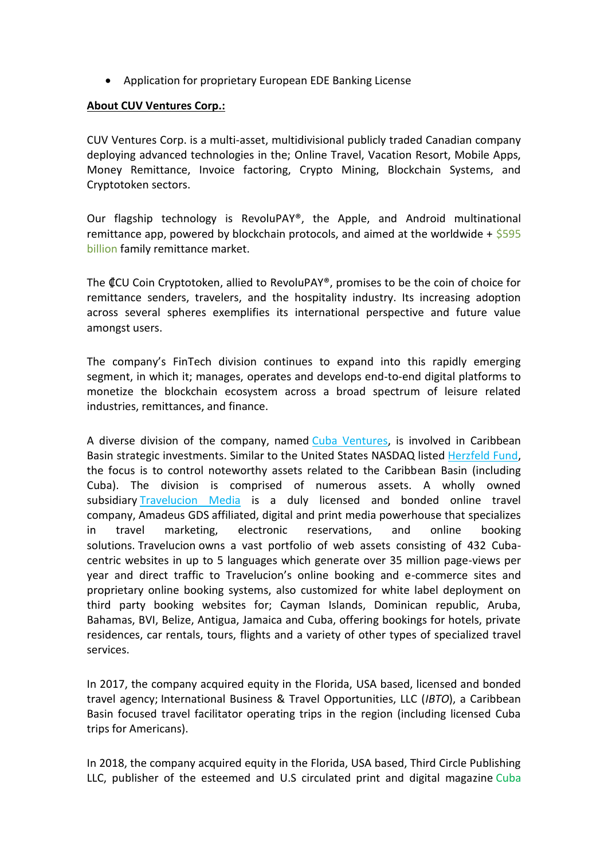Application for proprietary European EDE Banking License

#### **About CUV Ventures Corp.:**

CUV Ventures Corp. is a multi-asset, multidivisional publicly traded Canadian company deploying advanced technologies in the; Online Travel, Vacation Resort, Mobile Apps, Money Remittance, Invoice factoring, Crypto Mining, Blockchain Systems, and Cryptotoken sectors.

Our flagship technology is RevoluPAY®, the Apple, and Android multinational remittance app, powered by blockchain protocols, and aimed at the worldwide +  $$595$ [billion](http://www.worldbank.org/en/topic/migrationremittancesdiasporaissues/brief/migration-remittances-data) family remittance market.

The ₡CU Coin Cryptotoken, allied to RevoluPAY®, promises to be the coin of choice for remittance senders, travelers, and the hospitality industry. Its increasing adoption across several spheres exemplifies its international perspective and future value amongst users.

The company's FinTech division continues to expand into this rapidly emerging segment, in which it; manages, operates and develops end-to-end digital platforms to monetize the blockchain ecosystem across a broad spectrum of leisure related industries, remittances, and finance.

A diverse division of the company, named [Cuba Ventures,](http://www.cubaventures.com/) is involved in Caribbean Basin strategic investments. Similar to the United States NASDAQ listed [Herzfeld Fund,](https://www.herzfeld.com/cuba) the focus is to control noteworthy assets related to the Caribbean Basin (including Cuba). The division is comprised of numerous assets. A wholly owned subsidiary [Travelucion Media](http://www.travelucion.com/) is a duly licensed and bonded online travel company, [Amadeus GDS](http://www.amadeus.com/) affiliated, digital and print media powerhouse that specializes in travel marketing, electronic reservations, and online booking solutions. [Travelucion](http://www.travelucion.com/) owns a vast portfolio of web assets consisting of 432 Cubacentric websites in up to 5 languages which generate over 35 million page-views per year and direct traffic to Travelucion's online booking and e-commerce sites and proprietary online booking systems, also customized for white label deployment on third party booking websites for; Cayman Islands, Dominican republic, Aruba, Bahamas, BVI, Belize, Antigua, Jamaica and Cuba, offering bookings for hotels, private residences, car rentals, tours, flights and a variety of other types of specialized travel services.

In 2017, the company acquired equity in the Florida, USA based, licensed and bonded travel agency; International Business & Travel Opportunities, LLC (*IBTO*), a Caribbean Basin focused travel facilitator operating trips in the region (including licensed Cuba trips for Americans).

In 2018, the company acquired equity in the Florida, USA based, Third Circle Publishing LLC, publisher of the esteemed and U.S circulated print and digital magazine [Cuba](http://www.cubatrademagazine.com/)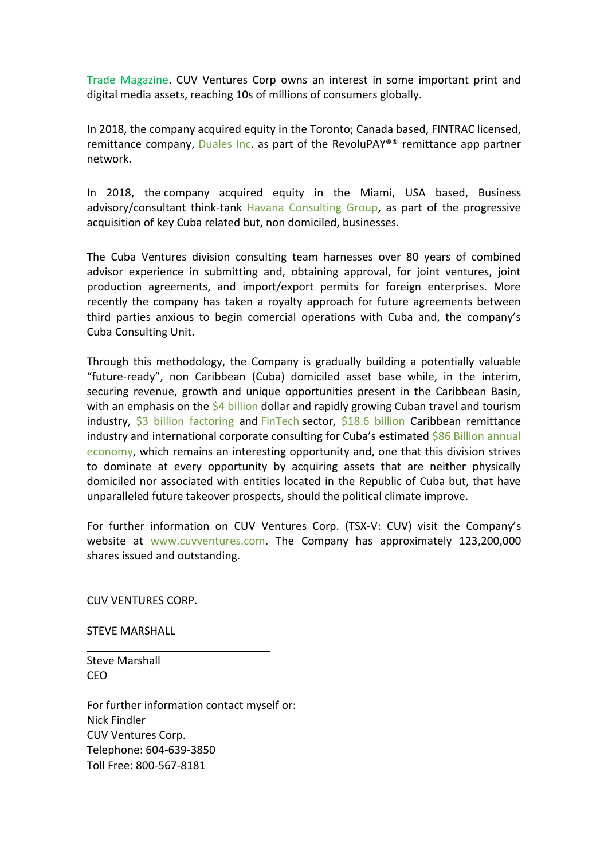Trade Magazine. CUV Ventures Corp owns an interest in some important print and digital media assets, reaching 10s of millions of consumers globally.

In 2018, the company acquired equity in the Toronto; Canada based, FINTRAC licensed, remittance company, [Duales Inc.](http://www.duales.com/) as part of the RevoluPAY®® remittance app partner network.

In 2018, the company acquired equity in the Miami, USA based, Business advisory/consultant think-tank [Havana Consulting Group,](http://www.thehavanaconsultinggroup.com/) as part of the progressive acquisition of key Cuba related but, non domiciled, businesses.

The Cuba Ventures division consulting team harnesses over 80 years of combined advisor experience in submitting and, obtaining approval, for joint ventures, joint production agreements, and import/export permits for foreign enterprises. More recently the company has taken a royalty approach for future agreements between third parties anxious to begin comercial operations with Cuba and, the company's Cuba Consulting Unit.

Through this methodology, the Company is gradually building a potentially valuable "future-ready", non Caribbean (Cuba) domiciled asset base while, in the interim, securing revenue, growth and unique opportunities present in the Caribbean Basin, with an emphasis on the [\\$4 billion](https://wits.worldbank.org/CountryProfile/en/CUB) dollar and rapidly growing Cuban travel and tourism industry, [\\$3 billion factoring](https://wits.worldbank.org/CountryProfile/en/CUB) and [FinTech](http://www.revolufin.com/) sector, [\\$18.6 billion](http://www.worldbank.org/en/topic/migrationremittancesdiasporaissues/brief/migration-remittances-data) Caribbean remittance industry and international corporate consulting for Cuba's estimated \$86 Billion annual [economy,](https://es.wikipedia.org/wiki/Economía_de_Cuba) which remains an interesting opportunity and, one that this division strives to dominate at every opportunity by acquiring assets that are neither physically domiciled nor associated with entities located in the Republic of Cuba but, that have unparalleled future takeover prospects, should the political climate improve.

For further information on CUV Ventures Corp. (TSX-V: CUV) visit the Company's website at [www.cuvventures.com.](http://www.cuvventures.com/) The Company has approximately 123,200,000 shares issued and outstanding.

CUV VENTURES CORP.

STEVE MARSHALL

Steve Marshall CEO

For further information contact myself or: Nick Findler CUV Ventures Corp. Telephone: 604-639-3850 Toll Free: 800-567-8181

 $\overline{\phantom{a}}$  , where  $\overline{\phantom{a}}$  , where  $\overline{\phantom{a}}$  ,  $\overline{\phantom{a}}$  ,  $\overline{\phantom{a}}$  ,  $\overline{\phantom{a}}$  ,  $\overline{\phantom{a}}$  ,  $\overline{\phantom{a}}$  ,  $\overline{\phantom{a}}$  ,  $\overline{\phantom{a}}$  ,  $\overline{\phantom{a}}$  ,  $\overline{\phantom{a}}$  ,  $\overline{\phantom{a}}$  ,  $\overline{\phantom{a}}$  ,  $\overline{\phantom{a}}$  ,